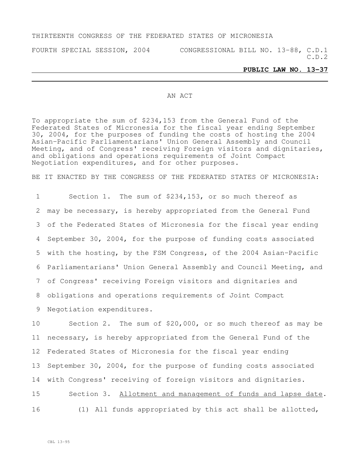## THIRTEENTH CONGRESS OF THE FEDERATED STATES OF MICRONESIA

FOURTH SPECIAL SESSION, 2004 CONGRESSIONAL BILL NO. 13-88, C.D.1 C.D.2

## **PUBLIC LAW NO. 13-37**

## AN ACT

To appropriate the sum of \$234,153 from the General Fund of the Federated States of Micronesia for the fiscal year ending September 30, 2004, for the purposes of funding the costs of hosting the 2004 Asian-Pacific Parliamentarians' Union General Assembly and Council Meeting, and of Congress' receiving Foreign visitors and dignitaries, and obligations and operations requirements of Joint Compact Negotiation expenditures, and for other purposes.

BE IT ENACTED BY THE CONGRESS OF THE FEDERATED STATES OF MICRONESIA:

 Section 1. The sum of \$234,153, or so much thereof as may be necessary, is hereby appropriated from the General Fund of the Federated States of Micronesia for the fiscal year ending September 30, 2004, for the purpose of funding costs associated with the hosting, by the FSM Congress, of the 2004 Asian-Pacific Parliamentarians' Union General Assembly and Council Meeting, and of Congress' receiving Foreign visitors and dignitaries and obligations and operations requirements of Joint Compact Negotiation expenditures.

 Section 2. The sum of \$20,000, or so much thereof as may be necessary, is hereby appropriated from the General Fund of the Federated States of Micronesia for the fiscal year ending September 30, 2004, for the purpose of funding costs associated with Congress' receiving of foreign visitors and dignitaries.

15 Section 3. Allotment and management of funds and lapse date. 16 (1) All funds appropriated by this act shall be allotted,